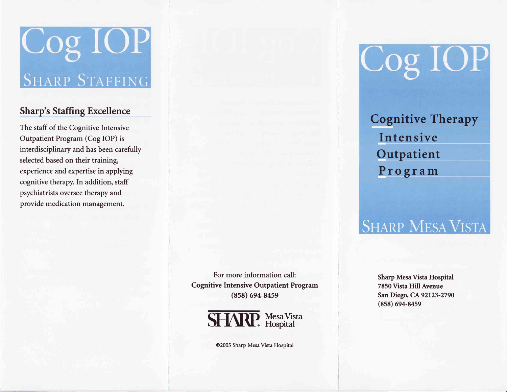# **COS IOP**

#### Sharp's Staffing Excellence

The staff of the Cognitive Intensive Outpatient Program (Cog IOP) is interdisciplinary and has been carefully selected based on their training, experience and expertise in applying cognitive therapy. In addition, staff psychiatrists oversee therapy and provide medication management.

> For more information call: Cognitive Intensive Outpatient Program (858) 694-8459



@2005 Sharp Mesa Vista Hospital

Cog IOP

**Cognitive Therapy** Intensive Outpatient Program

### **SHARP MESA VISTA**

Sharp Mesa Vista Hospital 7850 Vista Hill Avenue San Diego, CA 92L23-2790  $(858) 694 - 8459$